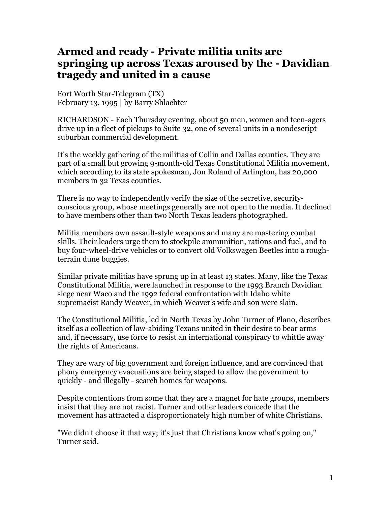## **Armed and ready - Private militia units are springing up across Texas aroused by the - Davidian tragedy and united in a cause**

Fort Worth Star-Telegram (TX) February 13, 1995 | by Barry Shlachter

RICHARDSON - Each Thursday evening, about 50 men, women and teen-agers drive up in a fleet of pickups to Suite 32, one of several units in a nondescript suburban commercial development.

It's the weekly gathering of the militias of Collin and Dallas counties. They are part of a small but growing 9-month-old Texas Constitutional Militia movement, which according to its state spokesman, Jon Roland of Arlington, has 20,000 members in 32 Texas counties.

There is no way to independently verify the size of the secretive, securityconscious group, whose meetings generally are not open to the media. It declined to have members other than two North Texas leaders photographed.

Militia members own assault-style weapons and many are mastering combat skills. Their leaders urge them to stockpile ammunition, rations and fuel, and to buy four-wheel-drive vehicles or to convert old Volkswagen Beetles into a roughterrain dune buggies.

Similar private militias have sprung up in at least 13 states. Many, like the Texas Constitutional Militia, were launched in response to the 1993 Branch Davidian siege near Waco and the 1992 federal confrontation with Idaho white supremacist Randy Weaver, in which Weaver's wife and son were slain.

The Constitutional Militia, led in North Texas by John Turner of Plano, describes itself as a collection of law-abiding Texans united in their desire to bear arms and, if necessary, use force to resist an international conspiracy to whittle away the rights of Americans.

They are wary of big government and foreign influence, and are convinced that phony emergency evacuations are being staged to allow the government to quickly - and illegally - search homes for weapons.

Despite contentions from some that they are a magnet for hate groups, members insist that they are not racist. Turner and other leaders concede that the movement has attracted a disproportionately high number of white Christians.

"We didn't choose it that way; it's just that Christians know what's going on," Turner said.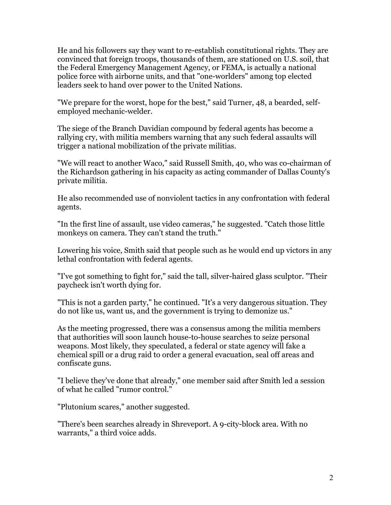He and his followers say they want to re-establish constitutional rights. They are convinced that foreign troops, thousands of them, are stationed on U.S. soil, that the Federal Emergency Management Agency, or FEMA, is actually a national police force with airborne units, and that "one-worlders" among top elected leaders seek to hand over power to the United Nations.

"We prepare for the worst, hope for the best," said Turner, 48, a bearded, selfemployed mechanic-welder.

The siege of the Branch Davidian compound by federal agents has become a rallying cry, with militia members warning that any such federal assaults will trigger a national mobilization of the private militias.

"We will react to another Waco," said Russell Smith, 40, who was co-chairman of the Richardson gathering in his capacity as acting commander of Dallas County's private militia.

He also recommended use of nonviolent tactics in any confrontation with federal agents.

"In the first line of assault, use video cameras," he suggested. "Catch those little monkeys on camera. They can't stand the truth."

Lowering his voice, Smith said that people such as he would end up victors in any lethal confrontation with federal agents.

"I've got something to fight for," said the tall, silver-haired glass sculptor. "Their paycheck isn't worth dying for.

"This is not a garden party," he continued. "It's a very dangerous situation. They do not like us, want us, and the government is trying to demonize us."

As the meeting progressed, there was a consensus among the militia members that authorities will soon launch house-to-house searches to seize personal weapons. Most likely, they speculated, a federal or state agency will fake a chemical spill or a drug raid to order a general evacuation, seal off areas and confiscate guns.

"I believe they've done that already," one member said after Smith led a session of what he called "rumor control."

"Plutonium scares," another suggested.

"There's been searches already in Shreveport. A 9-city-block area. With no warrants," a third voice adds.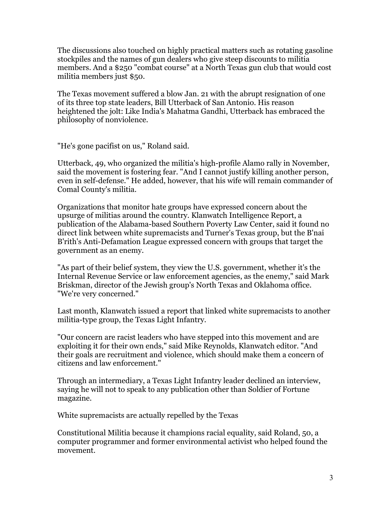The discussions also touched on highly practical matters such as rotating gasoline stockpiles and the names of gun dealers who give steep discounts to militia members. And a \$250 "combat course" at a North Texas gun club that would cost militia members just \$50.

The Texas movement suffered a blow Jan. 21 with the abrupt resignation of one of its three top state leaders, Bill Utterback of San Antonio. His reason heightened the jolt: Like India's Mahatma Gandhi, Utterback has embraced the philosophy of nonviolence.

"He's gone pacifist on us," Roland said.

Utterback, 49, who organized the militia's high-profile Alamo rally in November, said the movement is fostering fear. "And I cannot justify killing another person, even in self-defense." He added, however, that his wife will remain commander of Comal County's militia.

Organizations that monitor hate groups have expressed concern about the upsurge of militias around the country. Klanwatch Intelligence Report, a publication of the Alabama-based Southern Poverty Law Center, said it found no direct link between white supremacists and Turner's Texas group, but the B'nai B'rith's Anti-Defamation League expressed concern with groups that target the government as an enemy.

"As part of their belief system, they view the U.S. government, whether it's the Internal Revenue Service or law enforcement agencies, as the enemy," said Mark Briskman, director of the Jewish group's North Texas and Oklahoma office. "We're very concerned."

Last month, Klanwatch issued a report that linked white supremacists to another militia-type group, the Texas Light Infantry.

"Our concern are racist leaders who have stepped into this movement and are exploiting it for their own ends," said Mike Reynolds, Klanwatch editor. "And their goals are recruitment and violence, which should make them a concern of citizens and law enforcement."

Through an intermediary, a Texas Light Infantry leader declined an interview, saying he will not to speak to any publication other than Soldier of Fortune magazine.

White supremacists are actually repelled by the Texas

Constitutional Militia because it champions racial equality, said Roland, 50, a computer programmer and former environmental activist who helped found the movement.